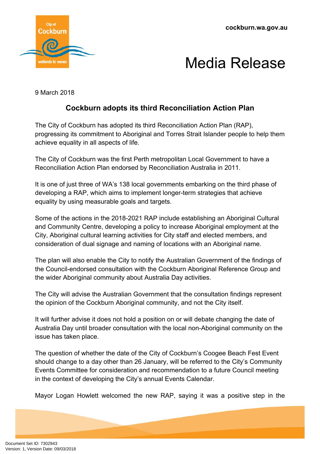**cockburn.wa.gov.au**



## Media Release

9 March 2018

## **Cockburn adopts its third Reconciliation Action Plan**

The City of Cockburn has adopted its third Reconciliation Action Plan (RAP), progressing its commitment to Aboriginal and Torres Strait Islander people to help them achieve equality in all aspects of life.

The City of Cockburn was the first Perth metropolitan Local Government to have a Reconciliation Action Plan endorsed by Reconciliation Australia in 2011.

It is one of just three of WA's 138 local governments embarking on the third phase of developing a RAP, which aims to implement longer-term strategies that achieve equality by using measurable goals and targets.

Some of the actions in the 2018-2021 RAP include establishing an Aboriginal Cultural and Community Centre, developing a policy to increase Aboriginal employment at the City, Aboriginal cultural learning activities for City staff and elected members, and consideration of dual signage and naming of locations with an Aboriginal name.

The plan will also enable the City to notify the Australian Government of the findings of the Council-endorsed consultation with the Cockburn Aboriginal Reference Group and the wider Aboriginal community about Australia Day activities.

The City will advise the Australian Government that the consultation findings represent the opinion of the Cockburn Aboriginal community, and not the City itself.

It will further advise it does not hold a position on or will debate changing the date of Australia Day until broader consultation with the local non-Aboriginal community on the issue has taken place.

The question of whether the date of the City of Cockburn's Coogee Beach Fest Event should change to a day other than 26 January, will be referred to the City's Community Events Committee for consideration and recommendation to a future Council meeting in the context of developing the City's annual Events Calendar.

Mayor Logan Howlett welcomed the new RAP, saying it was a positive step in the